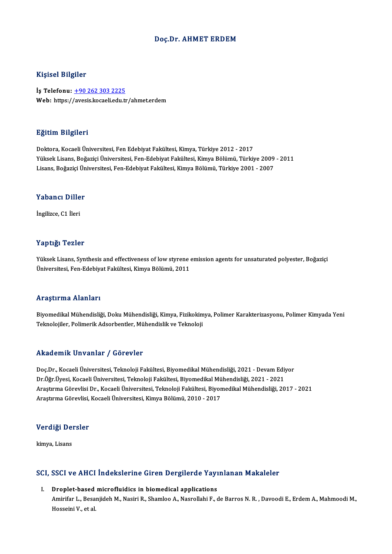### Doç.Dr. AHMET ERDEM

### Kişisel Bilgiler

İş Telefonu: +90 262 303 2225 Web: https:/[/avesis.kocaeli.edu.tr](tel:+90 262 303 2225)/ahmet.erdem

### Eğitim Bilgileri

Doktora,KocaeliÜniversitesi,FenEdebiyatFakültesi,Kimya,Türkiye 2012 -2017 YüksekLisans,BoğaziçiÜniversitesi,Fen-EdebiyatFakültesi,KimyaBölümü,Türkiye 2009 -2011 Lisans, Boğaziçi Üniversitesi, Fen-Edebiyat Fakültesi, Kimya Bölümü, Türkiye 2001 - 2007

## Lisans, bogaziçi ün<br>Yabancı Diller Y<mark>abancı Dille</mark><br>İngilizce, C1 İleri

# İngilizce, C1 İleri<br>Yaptığı Tezler

Yüksek Lisans, Synthesis and effectiveness of low styrene emission agents for unsaturated polyester, Boğaziçi Üniversitesi, Fen-Edebiyat Fakültesi, Kimya Bölümü, 2011

### Araştırma Alanları

Araştırma Alanları<br>Biyomedikal Mühendisliği, Doku Mühendisliği, Kimya, Fizikokimya, Polimer Karakterizasyonu, Polimer Kimyada Yeni<br>Teknelejiler, Polimerik Adeerbertler, Mühendislik ve Tekneleji 111 ayen ma Triamar I<br>Biyomedikal Mühendisliği, Doku Mühendisliği, Kimya, Fizikokim<br>Teknolojiler, Polimerik Adsorbentler, Mühendislik ve Teknoloji Teknolojiler, Polimerik Adsorbentler, Mühendislik ve Teknoloji<br>Akademik Unvanlar / Görevler

Akademik Unvanlar / Görevler<br>Doç.Dr., Kocaeli Üniversitesi, Teknoloji Fakültesi, Biyomedikal Mühendisliği, 2021 - Devam Ediyor<br>Dr.Öžr Üvesi, Kasaali Üniversitesi, Telmalaji Fakültesi, Biyomedikal Mühendisliği, 2021 - 2021 rritta Christ On vanrar 7 d'or Cyler<br>Doç.Dr., Kocaeli Üniversitesi, Teknoloji Fakültesi, Biyomedikal Mühendisliği, 2021 - Devam Ediy<br>Dr.Öğr.Üyesi, Kocaeli Üniversitesi, Teknoloji Fakültesi, Biyomedikal Mühendisliği, 2021 -Araştırma Görevlisi Dr., Kocaeli Üniversitesi, Teknoloji Fakültesi, Biyomedikal Mühendisliği, 2017 - 2021<br>Araştırma Görevlisi, Kocaeli Üniversitesi, Kimya Bölümü, 2010 - 2017 Dr.Öğr.Üyesi, Kocaeli Üniversitesi, Teknoloji Fakültesi, Biyomedikal Mühendisliği, 2021 - 2021

## <sub>Araşurma Göreviisi,</sub><br>Verdiği Dersler <mark>Verdiği De</mark>i<br><sub>kimya, Lisans</sub>

## kımya, Lisans<br>SCI, SSCI ve AHCI İndekslerine Giren Dergilerde Yayınlanan Makaleler CI, SSCI ve AHCI İndekslerine Giren Dergilerde Yayı<br>I. Droplet-based microfluidics in biomedical applications<br>Amirifar L. Besaniidab M. Nasiri B. Shamlas A. Nasnallabi E. 6

Boot ve first inachoici me airen Bergherae Taj Inlandii Makareler<br>Droplet-based microfluidics in biomedical applications<br>Amirifar L., Besanjideh M., Nasiri R., Shamloo A., Nasrollahi F., de Barros N. R. , Davoodi E., Erdem Dr<mark>oplet-based</mark><br>Amirifar L., Besa<br>Hosseini V., et al.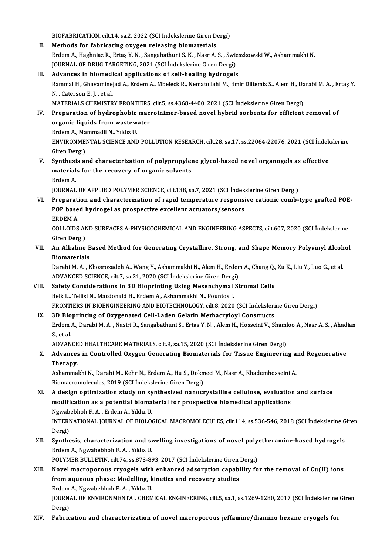BIOFABRICATION, cilt.14, sa.2, 2022 (SCI İndekslerine Giren Dergi)<br>Mathoda for fabrisating oyugan relagsing biomaterials

- BIOFABRICATION, cilt.14, sa.2, 2022 (SCI Indekslerine Giren D.<br>II. Methods for fabricating oxygen releasing biomaterials<br>Endom A. Hashniaz B. Extas Y. N. Sangshathuni S. K. Naar A. BIOFABRICATION, cilt.14, sa.2, 2022 (SCI İndekslerine Giren Dergi)<br>Methods for fabricating oxygen releasing biomaterials<br>Erdem A., Haghniaz R., Ertaş Y. N. , Sangabathuni S. K. , Nasr A. S. , Swieszkowski W., Ashammakhi N. Methods for fabricating oxygen releasing biomaterials<br>Erdem A., Haghniaz R., Ertaş Y. N. , Sangabathuni S. K. , Nasr A. S. , Swie<br>JOURNAL OF DRUG TARGETING, 2021 (SCI İndekslerine Giren Dergi)<br>Advances in biomodisel annlis Erdem A., Haghniaz R., Ertaş Y. N., Sangabathuni S. K., Nasr A. S., Swies<br>JOURNAL OF DRUG TARGETING, 2021 (SCI İndekslerine Giren Dergi)<br>III. Advances in biomedical applications of self-healing hydrogels<br>Pammal H. Chavamin
- JOURNAL OF DRUG TARGETING, 2021 (SCI İndekslerine Giren Dergi)<br><mark>Advances in biomedical applications of self-healing hydrogels</mark><br>Rammal H., Ghavaminejad A., Erdem A., Mbeleck R., Nematollahi M., Emir Diltemiz S., Alem H., Da **Advances in biomedi<br>Rammal H., Ghavamine<br>N. , Caterson E. J. , et al.<br>MATERIALS CUEMISTR** Rammal H., Ghavaminejad A., Erdem A., Mbeleck R., Nematollahi M., Emir Diltemiz S., Alem H., Da<br>N. , Caterson E. J. , et al.<br>MATERIALS CHEMISTRY FRONTIERS, cilt.5, ss.4368-4400, 2021 (SCI İndekslerine Giren Dergi)<br>Proposat N. , Caterson E. J. , et al.<br>MATERIALS CHEMISTRY FRONTIERS, cilt.5, ss.4368-4400, 2021 (SCI İndekslerine Giren Dergi)<br>IV. Preparation of hydrophobic macroinimer-based novel hybrid sorbents for efficient removal of

MATERIALS CHEMISTRY FRONTIERS,<br>Preparation of hydrophobic mac<br>organic liquids from wastewater<br>Erdem A. Mammadli N. Vildus II Preparation of hydrophobic<br>organic liquids from wastew<br>Erdem A., Mammadli N., Yıldız U.<br>ENWIPONMENTAL SCIENCE AND Erdem A., Mammadli N., Yıldız U.

ENVIRONMENTAL SCIENCE AND POLLUTION RESEARCH, cilt.28, sa.17, ss.22064-22076, 2021 (SCI İndekslerine<br>Giren Dergi) ENVIRONMENTAL SCIENCE AND POLLUTION RESEARCH, cilt.28, sa.17, ss.22064-22076, 2021 (SCI Indek<br>Giren Dergi)<br>V. Synthesis and characterization of polypropylene glycol-based novel organogels as effective<br>materials for the rec

Giren Dergi)<br>Synthesis and characterization of polypropylen<br>materials for the recovery of organic solvents<br>Frdem A Synthesi<br>material<br>Erdem A.<br>JOUPMAL materials for the recovery of organic solvents<br>Erdem A.<br>JOURNAL OF APPLIED POLYMER SCIENCE, cilt.138, sa.7, 2021 (SCI İndekslerine Giren Dergi)

VI. Preparation and characterization of rapid temperature responsive cationic comb-type grafted POE-JOURNAL OF APPLIED POLYMER SCIENCE, cilt.138, sa.7, 2021 (SCI İndek<br>Preparation and characterization of rapid temperature responsi<br>POP based hydrogel as prospective excellent actuators/sensors<br>EPDEM A Preparati<br>POP base<br>ERDEM A.<br>COLLODS POP based hydrogel as prospective excellent actuators/sensors<br>ERDEM A.<br>COLLOIDS AND SURFACES A-PHYSICOCHEMICAL AND ENGINEERING ASPECTS, cilt.607, 2020 (SCI İndekslerine<br>Ciron Dergi)

ERDEM A.<br>COLLOIDS AN<br>Giren Dergi)<br>An Alkalina COLLOIDS AND SURFACES A-PHYSICOCHEMICAL AND ENGINEERING ASPECTS, cilt.607, 2020 (SCI İndekslerine<br>Giren Dergi)<br>VII. An Alkaline Based Method for Generating Crystalline, Strong, and Shape Memory Polyvinyl Alcohol<br>Piomat

Giren Dergi)<br><mark>An Alkaline B</mark><br>Biomaterials<br><sup>Dorobi M. A. K</sup> An Alkaline Based Method for Generating Crystalline, Strong, and Shape Memory Polyvinyl Alcoh<br>Biomaterials<br>Darabi M. A. , Khosrozadeh A., Wang Y., Ashammakhi N., Alem H., Erdem A., Chang Q., Xu K., Liu Y., Luo G., et al.<br>A

Biomaterials<br>Darabi M. A. , Khosrozadeh A., Wang Y., Ashammakhi N., Alem H., Erden<br>ADVANCED SCIENCE, cilt.7, sa.21, 2020 (SCI İndekslerine Giren Dergi)<br>Safaty Cansiderations in 3D Bionrinting Heing Mesenghymal St Darabi M. A. , Khosrozadeh A., Wang Y., Ashammakhi N., Alem H., Erdem A., Chang Q., Xu K., Liu Y., Luo G., et al.<br>ADVANCED SCIENCE, cilt.7, sa.21, 2020 (SCI Indekslerine Giren Dergi)<br>VIII. Safety Considerations in 3D Biopr

- ADVANCED SCIENCE, cilt.7, sa.21, 2020 (SCI İndekslerine Giren Derg<br>Safety Considerations in 3D Bioprinting Using Mesenchymal<br>Belk L., Tellisi N., Macdonald H., Erdem A., Ashammakhi N., Pountos I.<br>ERONTIERS IN BIOENCINEERIN Safety Considerations in 3D Bioprinting Using Mesenchymal Stromal Cells<br>Belk L., Tellisi N., Macdonald H., Erdem A., Ashammakhi N., Pountos I.<br>FRONTIERS IN BIOENGINEERING AND BIOTECHNOLOGY, cilt.8, 2020 (SCI İndekslerine G Belk L., Tellisi N., Macdonald H., Erdem A., Ashammakhi N., Pountos I.<br>FRONTIERS IN BIOENGINEERING AND BIOTECHNOLOGY, cilt.8, 2020 (SCI İndeksleri<br>IX. 3D Bioprinting of Oxygenated Cell-Laden Gelatin Methacryloyl Constructs
- FRONTIERS IN BIOENGINEERING AND BIOTECHNOLOGY, cilt.8, 2020 (SCI İndekslerine Giren Dergi)<br>3D Bioprinting of Oxygenated Cell-Laden Gelatin Methacryloyl Constructs<br>Erdem A., Darabi M. A. , Nasiri R., Sangabathuni S., Ertas IX. 3D Bioprinting of Oxygenated Cell-Laden Gelatin Methacryloyl Constructs<br>Erdem A., Darabi M. A. , Nasiri R., Sangabathuni S., Ertas Y. N. , Alem H., Hosseini V., Shamloo A., Nasr A. S. , Ahadian<br>S., et al. Erdem A., Darabi M. A. , Nasiri R., Sangabathuni S., Ertas Y. N. , Alem H., Hosseini V., Shaml<br>S., et al.<br>ADVANCED HEALTHCARE MATERIALS, cilt.9, sa.15, 2020 (SCI İndekslerine Giren Dergi)<br>Advances in Controlled Ovygen Conc

S., et al.<br>ADVANCED HEALTHCARE MATERIALS, cilt.9, sa.15, 2020 (SCI İndekslerine Giren Dergi)<br>X. Advances in Controlled Oxygen Generating Biomaterials for Tissue Engineering and Regenerative<br>Thereny ADVANCE<br>Advances<br>Therapy. Advances in Controlled Oxygen Generating Biomaterials for Tissue Engineering a<br>Therapy.<br>Ashammakhi N., Darabi M., Kehr N., Erdem A., Hu S., Dokmeci M., Nasr A., Khademhosseini A.<br>Biomagnomalagulas 2010 (SCLI ndeltalagine G

Therapy.<br>Ashammakhi N., Darabi M., Kehr N., Erdem A., Hu S., Dokmeci M., Nasr A., Khademhosseini A.<br>Biomacromolecules, 2019 (SCI İndekslerine Giren Dergi) Ashammakhi N., Darabi M., Kehr N., Erdem A., Hu S., Dokmeci M., Nasr A., Khademhosseini A.<br>Biomacromolecules, 2019 (SCI İndekslerine Giren Dergi)<br>XI. A design optimization study on synthesized nanocrystalline cellulose, ev

- Biomacromolecules, 2019 (SCI İndekslerine Giren Dergi)<br>A design optimization study on synthesized nanocrystalline cellulose, evaluation<br>modification as a potential biomaterial for prospective biomedical applications<br>Nguabe A design optimization study on sy<br>modification as a potential bioma<br>Ngwabebhoh F.A., Erdem A., Yıldız U.<br>INTERNATIONAL JOURNAL OF PIOLOG modification as a potential biomaterial for prospective biomedical applications<br>Ngwabebhoh F. A. , Erdem A., Yıldız U.<br>INTERNATIONAL JOURNAL OF BIOLOGICAL MACROMOLECULES, cilt.114, ss.536-546, 2018 (SCI İndekslerine Giren<br> Ngwab<br>INTERI<br>Dergi)<br>Synthe INTERNATIONAL JOURNAL OF BIOLOGICAL MACROMOLECULES, cilt.114, ss.536-546, 2018 (SCI İndekslerine G<br>Dergi)<br>XII. Synthesis, characterization and swelling investigations of novel polyetheramine-based hydrogels<br>Frdam A. Naupha
- Dergi)<br>**Synthesis, characterization and s**y<br>Erdem A., Ngwabebhoh F. A. , Yıldız U.<br>POLYMER BULLETIN, cilt 74, cc 972, 90 Synthesis, characterization and swelling investigations of novel poly<br>Erdem A., Ngwabebhoh F. A. , Yıldız U.<br>POLYMER BULLETIN, cilt.74, ss.873-893, 2017 (SCI İndekslerine Giren Dergi)<br>Navel magnenonave exvegele with enhane

- Erdem A., Ngwabebhoh F. A. , Yıldız U.<br>POLYMER BULLETIN, cilt.74, ss.873-893, 2017 (SCI İndekslerine Giren Dergi)<br>XIII. Novel macroporous cryogels with enhanced adsorption capability for the removal of Cu(II) ions<br>from agu POLYMER BULLETIN, cilt.74, ss.873-893, 2017 (SCI Indekslerine Giren Dergi)<br>Novel macroporous cryogels with enhanced adsorption capability fo<br>from aqueous phase: Modelling, kinetics and recovery studies Novel macroporous cryogels with<br>from aqueous phase: Modelling, k<br>Erdem A., Ngwabebhoh F.A., Yıldız U.<br>JOUPNAL OF ENVIRONMENTAL CHEM JOURNAL OF ENVIRONMENTAL CHEMICAL ENGINEERING, cilt.5, sa.1, ss.1269-1280, 2017 (SCI İndekslerine Giren<br>Dergi) Erdem A., Ngwabebhoh F. A., Yıldız U.
- XIV. Fabrication and characterization of novelmacroporous jeffamine/diamino hexane cryogels for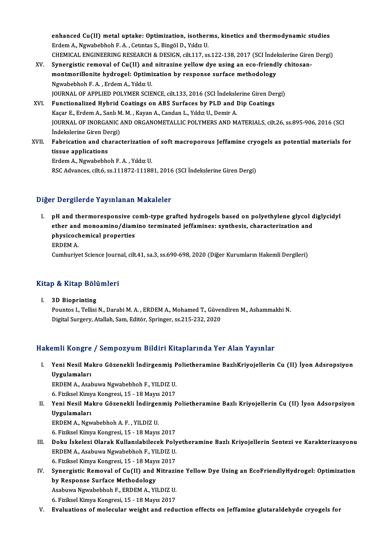enhanced Cu(II) metal uptake: Optimization, isotherms, kinetics and thermodynamic studies<br>Endem A. Nauphebbeb E.A. Cetutes S. Bingöl D. Vildu II enhanced Cu(II) metal uptake: Optimization, isother<br>Erdem A., Ngwabebhoh F. A. , Cetıntas S., Bingöl D., Yıldız U.<br>CHEMICAL ENCINEERING RESEARCH & DESICN silt 117, se Erdem A., Ngwabebhoh F. A. , Cetintas S., Bingöl D., Yıldız U.<br>CHEMICAL ENGINEERING RESEARCH & DESIGN, cilt.117, ss.122-138, 2017 (SCI İndekslerine Giren Dergi) Erdem A., Ngwabebhoh F. A. , Cetntas S., Bingöl D., Yıldız U.<br>CHEMICAL ENGINEERING RESEARCH & DESIGN, cilt.117, ss.122-138, 2017 (SCI İndekslerine Gires<br>XV. Synergistic removal of Cu(II) and nitrazine yellow dye using an e

- CHEMICAL ENGINEERING RESEARCH & DESIGN, cilt.117, ss.122-138, 2017 (SCI Indel<br>Synergistic removal of Cu(II) and nitrazine yellow dye using an eco-friendi<br>montmorillonite hydrogel: Optimization by response surface methodolo Synergistic removal of Cu(II) and<br>montmorillonite hydrogel: Optimi<br>Ngwabebhoh F.A., Erdem A., Yıldız U.<br>JOUPNAL OF APPLIED POLYMER SCIE montmorillonite hydrogel: Optimization by response surface methodology<br>Ngwabebhoh F. A. , Erdem A., Yıldız U.<br>JOURNAL OF APPLIED POLYMER SCIENCE, cilt.133, 2016 (SCI İndekslerine Giren Dergi)<br>Eunstianalized Hubrid Costings Ngwabebhoh F. A. , Erdem A., Yıldız U.<br>JOURNAL OF APPLIED POLYMER SCIENCE, cilt.133, 2016 (SCI İndekslerine Giren De<br>XVI. Functionalized Hybrid Coatings on ABS Surfaces by PLD and Dip Coatings JOURNAL OF APPLIED POLYMER SCIENCE, cilt.133, 2016 (SCI İndeksle<br>Functionalized Hybrid Coatings on ABS Surfaces by PLD and l<br>Kaçar E., Erdem A., Sanlı M. M. , Kayan A., Candan L., Yıldız U., Demir A.<br>JOUPMAL OE INOPCANIC A
- JOURNAL OF INORGANIC AND ORGANOMETALLIC POLYMERS AND MATERIALS, cilt.26, ss.895-906, 2016 (SCI Kaçar E., Erdem A., Sanlı M. M., Kayan A., Candan L., Yıldız U., Demir A. Indekslerine Giren Dergi)
- XVII. Fabrication and characterization of soft macroporous Jeffamine cryogels as potential materials for<br>tissue applications

ErdemA.,Ngwabebhoh F.A. ,YıldızU. RSC Advances, cilt.6, ss.111872-111881, 2016 (SCI İndekslerine Giren Dergi)

### Diğer Dergilerde Yayınlanan Makaleler

Iger Dergilerde Yayınlanan Makaleler<br>I. pH and thermoresponsive comb-type grafted hydrogels based on polyethylene glycol diglycidyl<br>Ather and meneamine (diamine terminated ieffemines: sunthesis, share teristion and ether and thermoresponsive comb-type grafted hydrogels based on polyethylene glycol d<br>ether and monoamino/diamino terminated jeffamines: synthesis, characterization and<br>physiseshemisel properties pH and thermoresponsive complement and monoamino/diam<br>physicochemical properties<br>EPDEM A ether and monoamino/diamino terminated jeffamines: synthesis, characterization and<br>physicochemical properties<br>ERDEM A. Cumhuriyet Science Journal, cilt.41, sa.3, ss.690-698, 2020 (Diğer Kurumların Hakemli Dergileri)

# Kitap &Kitap Bölümleri

**Itap & Kitap Bölü**<br>I. 3D Bioprinting<br>Pountes L Tellisi I. 3D Bioprinting<br>Pountos I., Tellisi N., Darabi M. A., ERDEM A., Mohamed T., Güvendiren M., Ashammakhi N. Digital Surgery, Atallah, Sam, Editör, Springer, ss.215-232, 2020

## Hakemli Kongre / Sempozyum Bildiri Kitaplarında Yer Alan Yayınlar

akemli Kongre / Sempozyum Bildiri Kitaplarında Yer Alan Yayınlar<br>I. Yeni Nesil Makro Gözenekli İndirgenmiş Polietheramine BazlıKriyojellerin Cu (II) İyon Adsropsiyon<br>Uygulamaları SINI ROLLETO<br>Yeni Nesil Ma<br>Uygulamaları<br>EPDEM A. Acel Yeni Nesil Makro Gözenekli İndirgenmiş P<br>Uygulamaları<br>ERDEM A., Asabuwa Ngwabebhoh F., YILDIZ U.<br>6. Firilmel Kimya Kongresi 15 - 18 Mayıs 2017

<mark>Uygulamaları</mark><br>ERDEM A., Asabuwa Ngwabebhoh F., YILDIZ U.<br>6. Fiziksel Kimya Kongresi, 15 - 18 Mayıs 2017<br>Yoni Nesil Makre Gözenekli İndingenmiş B

ERDEM A., Asabuwa Ngwabebhoh F., YILDIZ U.<br>6. Fiziksel Kimya Kongresi, 15 - 18 Mayıs 2017<br>II. Yeni Nesil Makro Gözenekli İndirgenmiş Polietheramine Bazlı Kriyojellerin Cu (II) İyon Adsorpsiyon<br>Uygulamaları 6. Fiziksel Kimya Kongresi, 15 - 18 Mayıs 2017<br>Yeni Nesil Makro Gözenekli İndirgenmiş I<br>Uygulamaları<br>ERDEM A., Ngwabebhoh A. F., YILDIZ U. Yeni Nesil Makro Gözenekli İndirger<br>Uygulamaları<br>ERDEM A., Ngwabebhoh A.F., YILDIZ U.<br>6. Firikeel Kimye Kongresi 15, 18 Mayıs

6.FizikselKimyaKongresi,15 -18Mayıs2017

- I I. BRDEM A., Ngwabebhoh A. F. , YILDIZ U.<br>6. Fiziksel Kimya Kongresi, 15 18 Mayıs 2017<br>III. Doku İskelesi Olarak Kullanılabilecek Polyetheramine Bazlı Kriyojellerin Sentezi ve Karakterizasyonu<br>FRDEM A. Asəbuya Ngun 6. Fiziksel Kimya Kongresi, 15 - 18 Mayıs 2017<br>Doku İskelesi Olarak Kullanılabilecek Poly<br>ERDEM A., Asabuwa Ngwabebhoh F., YILDIZ U.<br>6. Fiziksel Kimya Kongresi, 15 - 18 Mayıs 2017 19. Doku İskelesi Olarak Kullanılabilecek Poly<br>ERDEM A., Asabuwa Ngwabebhoh F., YILDIZ U.<br>6. Fiziksel Kimya Kongresi, 15 - 18 Mayıs 2017<br>Synongistia Romoval of Gy(II) and Nitrogi ERDEM A., Asabuwa Ngwabebhoh F., YILDIZ U.<br>6. Fiziksel Kimya Kongresi, 15 - 18 Mayıs 2017<br>IV. Synergistic Removal of Cu(II) and Nitrazine Yellow Dye Using an EcoFriendlyHydrogel: Optimization<br>by Pespense Surface Method
- 6. Fiziksel Kimya Kongresi, 15 18 Mayı<br>Synergistic Removal of Cu(II) and l<br>by Response Surface Methodology<br>Asshuva Nayababbab E. EPDEM A. VI Synergistic Removal of Cu(II) and Nitrazi:<br>by Response Surface Methodology<br>Asabuwa Ngwabebhoh F., ERDEM A., YILDIZ U.<br>6. Firikaal Kimus Kongresi 15 - 18 Meyrs 2017. by Response Surface Methodology<br>Asabuwa Ngwabebhoh F., ERDEM A., YILDIZ U.<br>6. Fiziksel Kimya Kongresi, 15 - 18 Mayıs 2017
- V. Evaluations of molecular weight and reduction effects on Jeffamine glutaraldehyde cryogels for